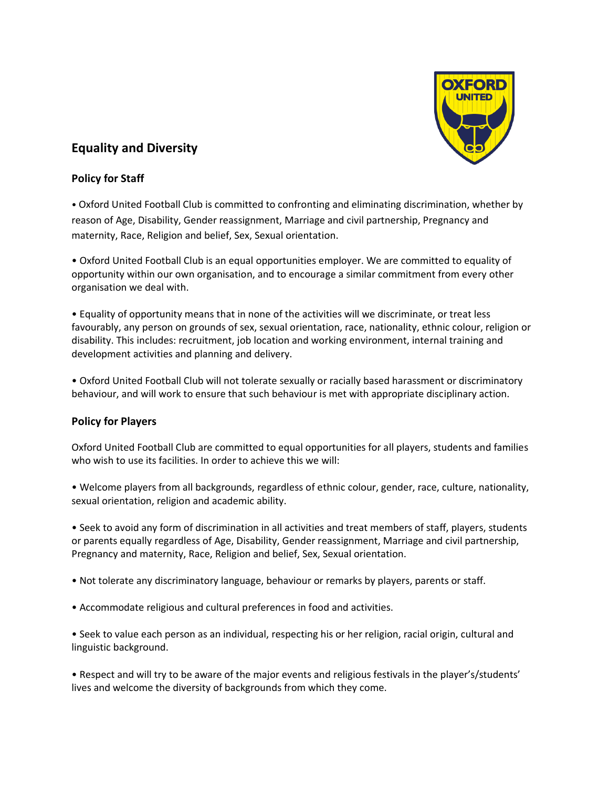

# **Equality and Diversity**

## **Policy for Staff**

• Oxford United Football Club is committed to confronting and eliminating discrimination, whether by reason of Age, Disability, Gender reassignment, Marriage and civil partnership, Pregnancy and maternity, Race, Religion and belief, Sex, Sexual orientation.

• Oxford United Football Club is an equal opportunities employer. We are committed to equality of opportunity within our own organisation, and to encourage a similar commitment from every other organisation we deal with.

• Equality of opportunity means that in none of the activities will we discriminate, or treat less favourably, any person on grounds of sex, sexual orientation, race, nationality, ethnic colour, religion or disability. This includes: recruitment, job location and working environment, internal training and development activities and planning and delivery.

• Oxford United Football Club will not tolerate sexually or racially based harassment or discriminatory behaviour, and will work to ensure that such behaviour is met with appropriate disciplinary action.

## **Policy for Players**

Oxford United Football Club are committed to equal opportunities for all players, students and families who wish to use its facilities. In order to achieve this we will:

• Welcome players from all backgrounds, regardless of ethnic colour, gender, race, culture, nationality, sexual orientation, religion and academic ability.

• Seek to avoid any form of discrimination in all activities and treat members of staff, players, students or parents equally regardless of Age, Disability, Gender reassignment, Marriage and civil partnership, Pregnancy and maternity, Race, Religion and belief, Sex, Sexual orientation.

- Not tolerate any discriminatory language, behaviour or remarks by players, parents or staff.
- Accommodate religious and cultural preferences in food and activities.

• Seek to value each person as an individual, respecting his or her religion, racial origin, cultural and linguistic background.

• Respect and will try to be aware of the major events and religious festivals in the player's/students' lives and welcome the diversity of backgrounds from which they come.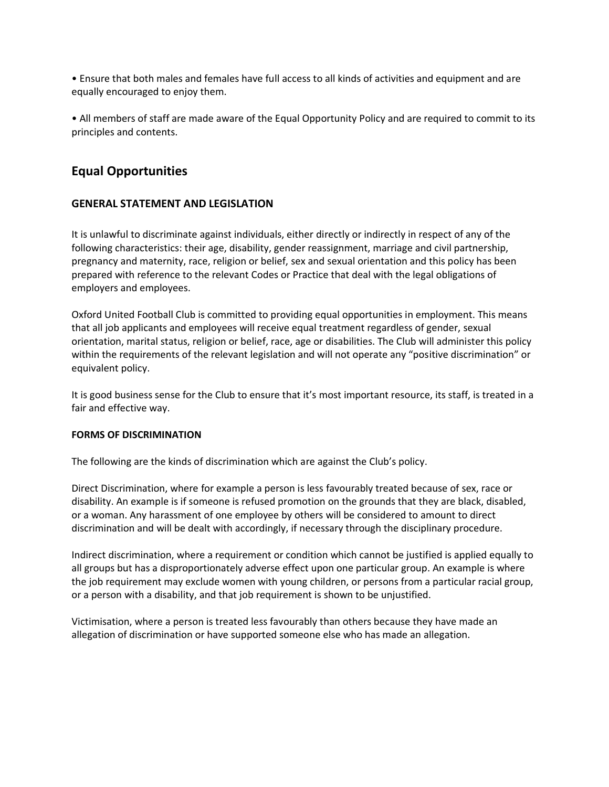• Ensure that both males and females have full access to all kinds of activities and equipment and are equally encouraged to enjoy them.

• All members of staff are made aware of the Equal Opportunity Policy and are required to commit to its principles and contents.

# **Equal Opportunities**

## **GENERAL STATEMENT AND LEGISLATION**

It is unlawful to discriminate against individuals, either directly or indirectly in respect of any of the following characteristics: their age, disability, gender reassignment, marriage and civil partnership, pregnancy and maternity, race, religion or belief, sex and sexual orientation and this policy has been prepared with reference to the relevant Codes or Practice that deal with the legal obligations of employers and employees.

Oxford United Football Club is committed to providing equal opportunities in employment. This means that all job applicants and employees will receive equal treatment regardless of gender, sexual orientation, marital status, religion or belief, race, age or disabilities. The Club will administer this policy within the requirements of the relevant legislation and will not operate any "positive discrimination" or equivalent policy.

It is good business sense for the Club to ensure that it's most important resource, its staff, is treated in a fair and effective way.

### **FORMS OF DISCRIMINATION**

The following are the kinds of discrimination which are against the Club's policy.

Direct Discrimination, where for example a person is less favourably treated because of sex, race or disability. An example is if someone is refused promotion on the grounds that they are black, disabled, or a woman. Any harassment of one employee by others will be considered to amount to direct discrimination and will be dealt with accordingly, if necessary through the disciplinary procedure.

Indirect discrimination, where a requirement or condition which cannot be justified is applied equally to all groups but has a disproportionately adverse effect upon one particular group. An example is where the job requirement may exclude women with young children, or persons from a particular racial group, or a person with a disability, and that job requirement is shown to be unjustified.

Victimisation, where a person is treated less favourably than others because they have made an allegation of discrimination or have supported someone else who has made an allegation.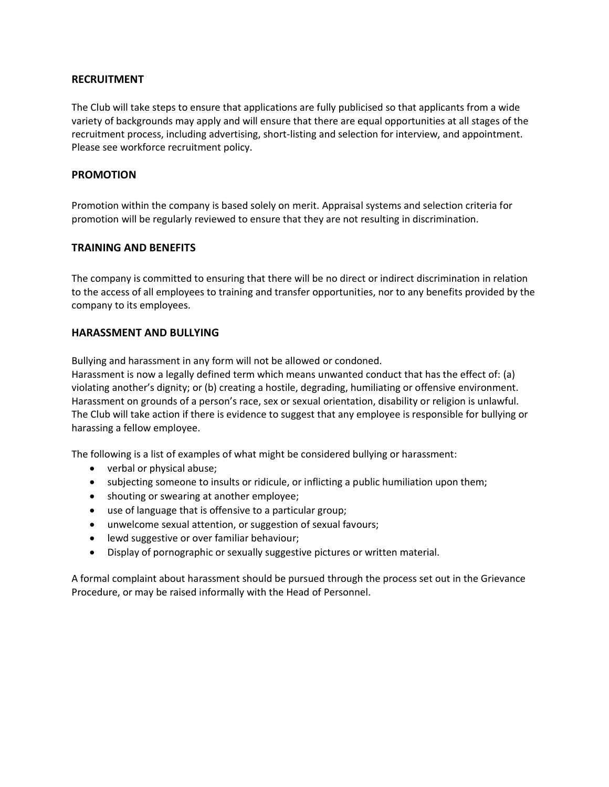### **RECRUITMENT**

The Club will take steps to ensure that applications are fully publicised so that applicants from a wide variety of backgrounds may apply and will ensure that there are equal opportunities at all stages of the recruitment process, including advertising, short-listing and selection for interview, and appointment. Please see workforce recruitment policy.

#### **PROMOTION**

Promotion within the company is based solely on merit. Appraisal systems and selection criteria for promotion will be regularly reviewed to ensure that they are not resulting in discrimination.

#### **TRAINING AND BENEFITS**

The company is committed to ensuring that there will be no direct or indirect discrimination in relation to the access of all employees to training and transfer opportunities, nor to any benefits provided by the company to its employees.

#### **HARASSMENT AND BULLYING**

Bullying and harassment in any form will not be allowed or condoned.

Harassment is now a legally defined term which means unwanted conduct that has the effect of: (a) violating another's dignity; or (b) creating a hostile, degrading, humiliating or offensive environment. Harassment on grounds of a person's race, sex or sexual orientation, disability or religion is unlawful. The Club will take action if there is evidence to suggest that any employee is responsible for bullying or harassing a fellow employee.

The following is a list of examples of what might be considered bullying or harassment:

- verbal or physical abuse;
- subjecting someone to insults or ridicule, or inflicting a public humiliation upon them;
- shouting or swearing at another employee;
- use of language that is offensive to a particular group;
- unwelcome sexual attention, or suggestion of sexual favours;
- lewd suggestive or over familiar behaviour;
- Display of pornographic or sexually suggestive pictures or written material.

A formal complaint about harassment should be pursued through the process set out in the Grievance Procedure, or may be raised informally with the Head of Personnel.